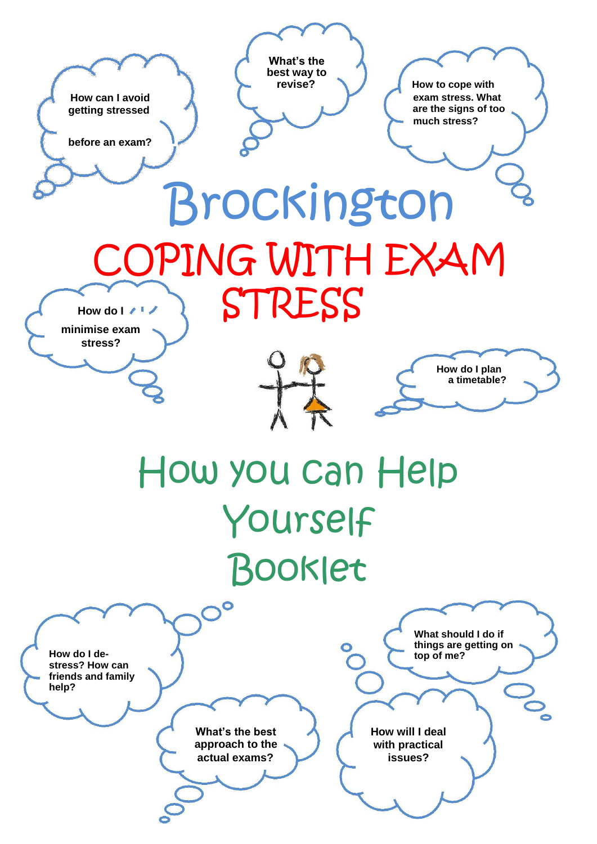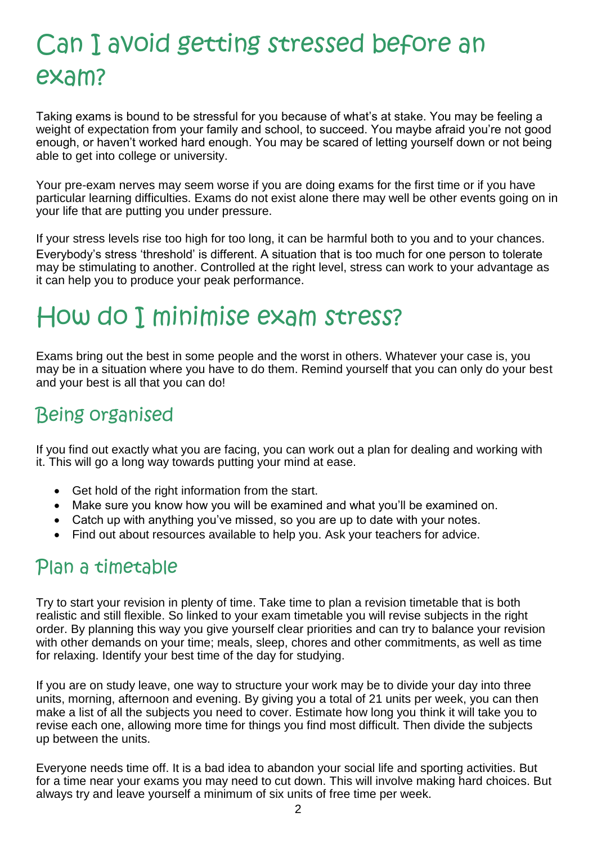## Can I avoid getting stressed before an exam?

Taking exams is bound to be stressful for you because of what's at stake. You may be feeling a weight of expectation from your family and school, to succeed. You maybe afraid you're not good enough, or haven't worked hard enough. You may be scared of letting yourself down or not being able to get into college or university.

Your pre-exam nerves may seem worse if you are doing exams for the first time or if you have particular learning difficulties. Exams do not exist alone there may well be other events going on in your life that are putting you under pressure.

If your stress levels rise too high for too long, it can be harmful both to you and to your chances. Everybody's stress 'threshold' is different. A situation that is too much for one person to tolerate may be stimulating to another. Controlled at the right level, stress can work to your advantage as it can help you to produce your peak performance.

## How do I minimise exam stress?

Exams bring out the best in some people and the worst in others. Whatever your case is, you may be in a situation where you have to do them. Remind yourself that you can only do your best and your best is all that you can do!

## Being organised

If you find out exactly what you are facing, you can work out a plan for dealing and working with it. This will go a long way towards putting your mind at ease.

- Get hold of the right information from the start.
- Make sure you know how you will be examined and what you'll be examined on.
- Catch up with anything you've missed, so you are up to date with your notes.
- Find out about resources available to help you. Ask your teachers for advice.

### Plan a timetable

Try to start your revision in plenty of time. Take time to plan a revision timetable that is both realistic and still flexible. So linked to your exam timetable you will revise subjects in the right order. By planning this way you give yourself clear priorities and can try to balance your revision with other demands on your time; meals, sleep, chores and other commitments, as well as time for relaxing. Identify your best time of the day for studying.

If you are on study leave, one way to structure your work may be to divide your day into three units, morning, afternoon and evening. By giving you a total of 21 units per week, you can then make a list of all the subjects you need to cover. Estimate how long you think it will take you to revise each one, allowing more time for things you find most difficult. Then divide the subjects up between the units.

Everyone needs time off. It is a bad idea to abandon your social life and sporting activities. But for a time near your exams you may need to cut down. This will involve making hard choices. But always try and leave yourself a minimum of six units of free time per week.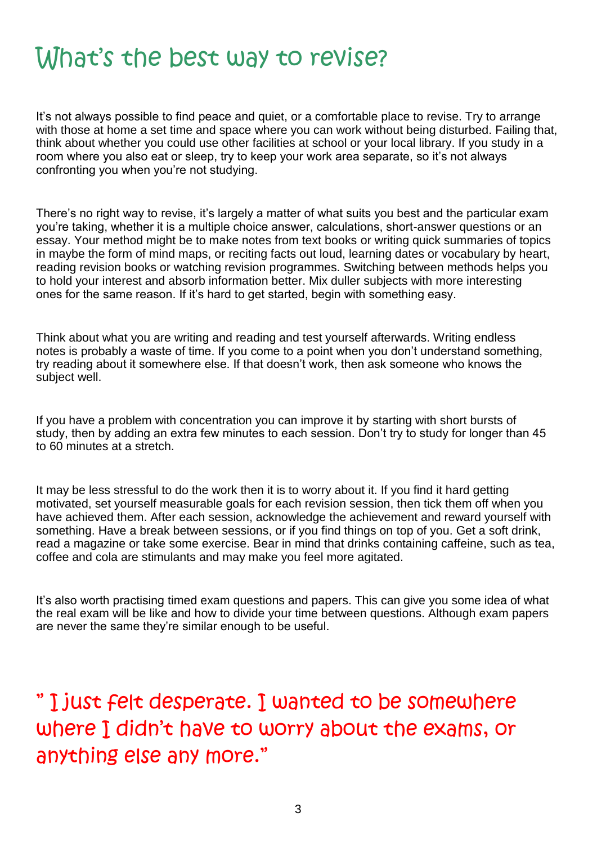## What's the best way to revise?

It's not always possible to find peace and quiet, or a comfortable place to revise. Try to arrange with those at home a set time and space where you can work without being disturbed. Failing that, think about whether you could use other facilities at school or your local library. If you study in a room where you also eat or sleep, try to keep your work area separate, so it's not always confronting you when you're not studying.

There's no right way to revise, it's largely a matter of what suits you best and the particular exam you're taking, whether it is a multiple choice answer, calculations, short-answer questions or an essay. Your method might be to make notes from text books or writing quick summaries of topics in maybe the form of mind maps, or reciting facts out loud, learning dates or vocabulary by heart, reading revision books or watching revision programmes. Switching between methods helps you to hold your interest and absorb information better. Mix duller subjects with more interesting ones for the same reason. If it's hard to get started, begin with something easy.

Think about what you are writing and reading and test yourself afterwards. Writing endless notes is probably a waste of time. If you come to a point when you don't understand something, try reading about it somewhere else. If that doesn't work, then ask someone who knows the subject well.

If you have a problem with concentration you can improve it by starting with short bursts of study, then by adding an extra few minutes to each session. Don't try to study for longer than 45 to 60 minutes at a stretch.

It may be less stressful to do the work then it is to worry about it. If you find it hard getting motivated, set yourself measurable goals for each revision session, then tick them off when you have achieved them. After each session, acknowledge the achievement and reward yourself with something. Have a break between sessions, or if you find things on top of you. Get a soft drink, read a magazine or take some exercise. Bear in mind that drinks containing caffeine, such as tea, coffee and cola are stimulants and may make you feel more agitated.

It's also worth practising timed exam questions and papers. This can give you some idea of what the real exam will be like and how to divide your time between questions. Although exam papers are never the same they're similar enough to be useful.

" I just felt desperate. I wanted to be somewhere where I didn't have to worry about the exams, or anything else any more."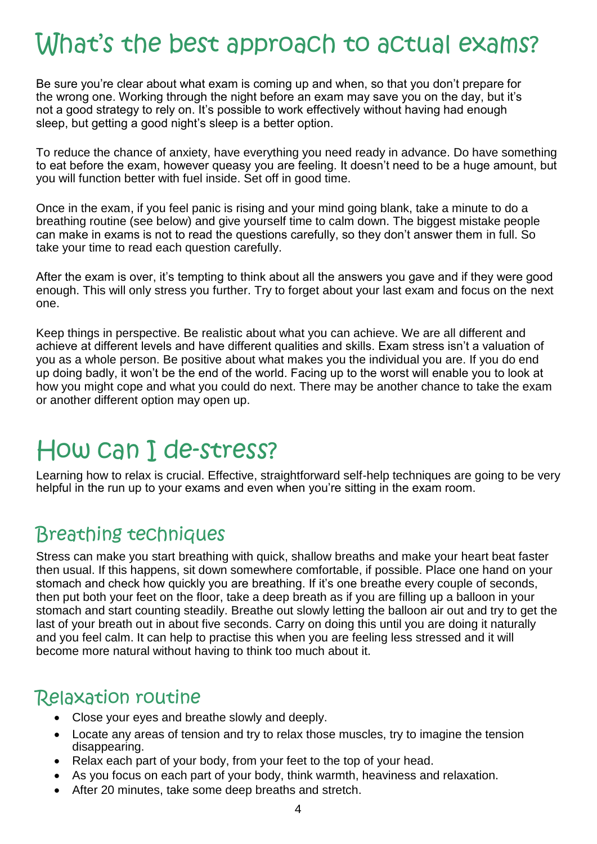## What's the best approach to actual exams?

Be sure you're clear about what exam is coming up and when, so that you don't prepare for the wrong one. Working through the night before an exam may save you on the day, but it's not a good strategy to rely on. It's possible to work effectively without having had enough sleep, but getting a good night's sleep is a better option.

To reduce the chance of anxiety, have everything you need ready in advance. Do have something to eat before the exam, however queasy you are feeling. It doesn't need to be a huge amount, but you will function better with fuel inside. Set off in good time.

Once in the exam, if you feel panic is rising and your mind going blank, take a minute to do a breathing routine (see below) and give yourself time to calm down. The biggest mistake people can make in exams is not to read the questions carefully, so they don't answer them in full. So take your time to read each question carefully.

After the exam is over, it's tempting to think about all the answers you gave and if they were good enough. This will only stress you further. Try to forget about your last exam and focus on the next one.

Keep things in perspective. Be realistic about what you can achieve. We are all different and achieve at different levels and have different qualities and skills. Exam stress isn't a valuation of you as a whole person. Be positive about what makes you the individual you are. If you do end up doing badly, it won't be the end of the world. Facing up to the worst will enable you to look at how you might cope and what you could do next. There may be another chance to take the exam or another different option may open up.

## How can I de-stress?

Learning how to relax is crucial. Effective, straightforward self-help techniques are going to be very helpful in the run up to your exams and even when you're sitting in the exam room.

### Breathing techniques

Stress can make you start breathing with quick, shallow breaths and make your heart beat faster then usual. If this happens, sit down somewhere comfortable, if possible. Place one hand on your stomach and check how quickly you are breathing. If it's one breathe every couple of seconds, then put both your feet on the floor, take a deep breath as if you are filling up a balloon in your stomach and start counting steadily. Breathe out slowly letting the balloon air out and try to get the last of your breath out in about five seconds. Carry on doing this until you are doing it naturally and you feel calm. It can help to practise this when you are feeling less stressed and it will become more natural without having to think too much about it.

### Relaxation routine

- Close your eyes and breathe slowly and deeply.
- Locate any areas of tension and try to relax those muscles, try to imagine the tension disappearing.
- Relax each part of your body, from your feet to the top of your head.
- As you focus on each part of your body, think warmth, heaviness and relaxation.
- After 20 minutes, take some deep breaths and stretch.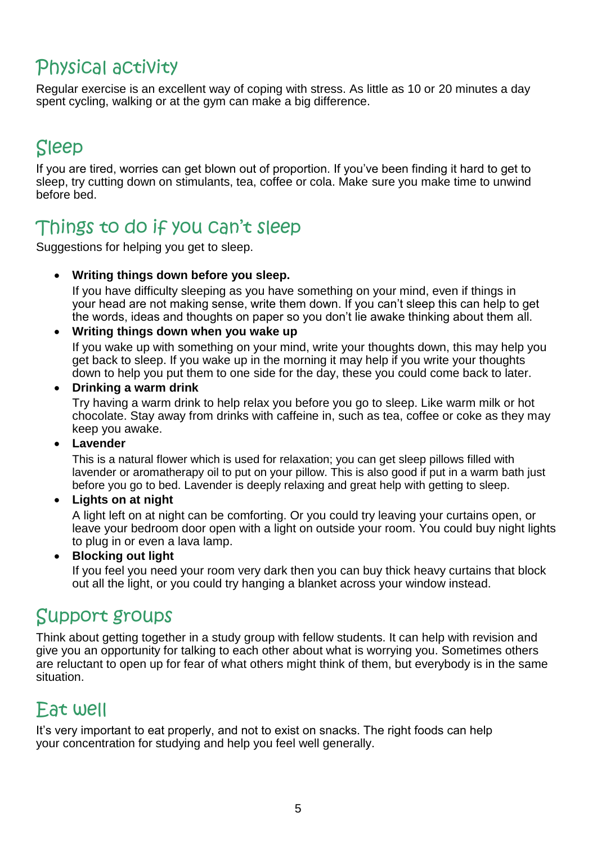## Physical activity

Regular exercise is an excellent way of coping with stress. As little as 10 or 20 minutes a day spent cycling, walking or at the gym can make a big difference.

## Sleep

If you are tired, worries can get blown out of proportion. If you've been finding it hard to get to sleep, try cutting down on stimulants, tea, coffee or cola. Make sure you make time to unwind before bed.

### Things to do if you can't sleep

Suggestions for helping you get to sleep.

#### **Writing things down before you sleep.**

If you have difficulty sleeping as you have something on your mind, even if things in your head are not making sense, write them down. If you can't sleep this can help to get the words, ideas and thoughts on paper so you don't lie awake thinking about them all.

#### **Writing things down when you wake up**

If you wake up with something on your mind, write your thoughts down, this may help you get back to sleep. If you wake up in the morning it may help if you write your thoughts down to help you put them to one side for the day, these you could come back to later.

#### **Drinking a warm drink**

Try having a warm drink to help relax you before you go to sleep. Like warm milk or hot chocolate. Stay away from drinks with caffeine in, such as tea, coffee or coke as they may keep you awake.

#### **Lavender**

This is a natural flower which is used for relaxation; you can get sleep pillows filled with lavender or aromatherapy oil to put on your pillow. This is also good if put in a warm bath just before you go to bed. Lavender is deeply relaxing and great help with getting to sleep.

#### **Lights on at night**

A light left on at night can be comforting. Or you could try leaving your curtains open, or leave your bedroom door open with a light on outside your room. You could buy night lights to plug in or even a lava lamp.

**Blocking out light** 

If you feel you need your room very dark then you can buy thick heavy curtains that block out all the light, or you could try hanging a blanket across your window instead.

### Support groups

Think about getting together in a study group with fellow students. It can help with revision and give you an opportunity for talking to each other about what is worrying you. Sometimes others are reluctant to open up for fear of what others might think of them, but everybody is in the same situation.

### Eat well

It's very important to eat properly, and not to exist on snacks. The right foods can help your concentration for studying and help you feel well generally.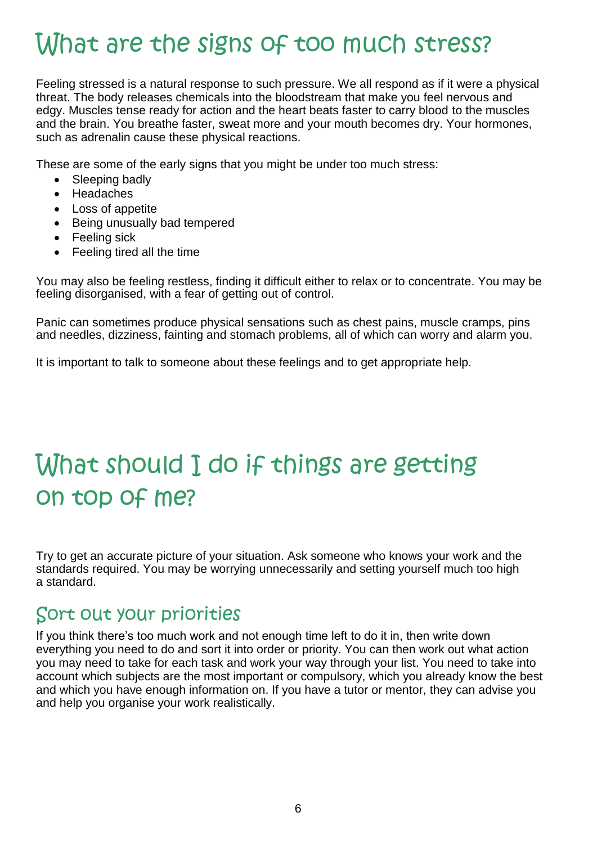## What are the signs of too much stress?

Feeling stressed is a natural response to such pressure. We all respond as if it were a physical threat. The body releases chemicals into the bloodstream that make you feel nervous and edgy. Muscles tense ready for action and the heart beats faster to carry blood to the muscles and the brain. You breathe faster, sweat more and your mouth becomes dry. Your hormones, such as adrenalin cause these physical reactions.

These are some of the early signs that you might be under too much stress:

- Sleeping badly
- Headaches
- Loss of appetite
- Being unusually bad tempered
- Feeling sick
- Feeling tired all the time

You may also be feeling restless, finding it difficult either to relax or to concentrate. You may be feeling disorganised, with a fear of getting out of control.

Panic can sometimes produce physical sensations such as chest pains, muscle cramps, pins and needles, dizziness, fainting and stomach problems, all of which can worry and alarm you.

It is important to talk to someone about these feelings and to get appropriate help.

## What should I do if things are getting on top of me?

Try to get an accurate picture of your situation. Ask someone who knows your work and the standards required. You may be worrying unnecessarily and setting yourself much too high a standard.

### Sort out your priorities

If you think there's too much work and not enough time left to do it in, then write down everything you need to do and sort it into order or priority. You can then work out what action you may need to take for each task and work your way through your list. You need to take into account which subjects are the most important or compulsory, which you already know the best and which you have enough information on. If you have a tutor or mentor, they can advise you and help you organise your work realistically.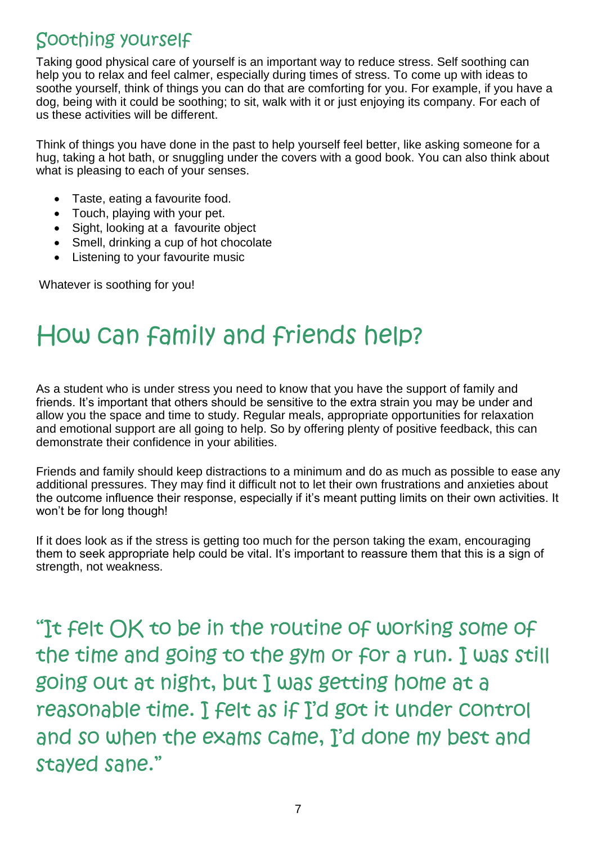### Soothing yourself

Taking good physical care of yourself is an important way to reduce stress. Self soothing can help you to relax and feel calmer, especially during times of stress. To come up with ideas to soothe yourself, think of things you can do that are comforting for you. For example, if you have a dog, being with it could be soothing; to sit, walk with it or just enjoying its company. For each of us these activities will be different.

Think of things you have done in the past to help yourself feel better, like asking someone for a hug, taking a hot bath, or snuggling under the covers with a good book. You can also think about what is pleasing to each of your senses.

- Taste, eating a favourite food.
- Touch, playing with your pet.
- Sight, looking at a favourite object
- Smell, drinking a cup of hot chocolate
- Listening to your favourite music

Whatever is soothing for you!

## How can family and friends help?

As a student who is under stress you need to know that you have the support of family and friends. It's important that others should be sensitive to the extra strain you may be under and allow you the space and time to study. Regular meals, appropriate opportunities for relaxation and emotional support are all going to help. So by offering plenty of positive feedback, this can demonstrate their confidence in your abilities.

Friends and family should keep distractions to a minimum and do as much as possible to ease any additional pressures. They may find it difficult not to let their own frustrations and anxieties about the outcome influence their response, especially if it's meant putting limits on their own activities. It won't be for long though!

If it does look as if the stress is getting too much for the person taking the exam, encouraging them to seek appropriate help could be vital. It's important to reassure them that this is a sign of strength, not weakness.

"It felt OK to be in the routine of working some of the time and going to the gym or for a run. I was still going out at night, but I was getting home at a reasonable time. I felt as if I'd got it under control and so when the exams came, I'd done my best and stayed sane."